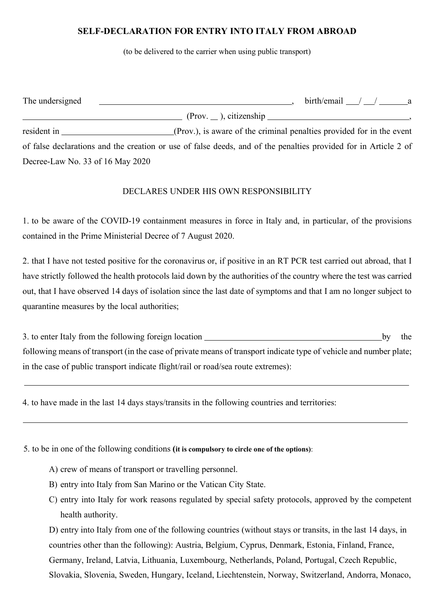## **SELF-DECLARATION FOR ENTRY INTO ITALY FROM ABROAD**

(to be delivered to the carrier when using public transport)

| The undersigned                  | $birth/email$ / / a                                                                                             |
|----------------------------------|-----------------------------------------------------------------------------------------------------------------|
|                                  | $(Prov. \_)$ , citizenship                                                                                      |
| resident in                      | (Prov.), is aware of the criminal penalties provided for in the event                                           |
|                                  | of false declarations and the creation or use of false deeds, and of the penalties provided for in Article 2 of |
| Decree-Law No. 33 of 16 May 2020 |                                                                                                                 |

## DECLARES UNDER HIS OWN RESPONSIBILITY

1. to be aware of the COVID-19 containment measures in force in Italy and, in particular, of the provisions contained in the Prime Ministerial Decree of 7 August 2020.

2. that I have not tested positive for the coronavirus or, if positive in an RT PCR test carried out abroad, that I have strictly followed the health protocols laid down by the authorities of the country where the test was carried out, that I have observed 14 days of isolation since the last date of symptoms and that I am no longer subject to quarantine measures by the local authorities;

3. to enter Italy from the following foreign location by the by the following means of transport (in the case of private means of transport indicate type of vehicle and number plate; in the case of public transport indicate flight/rail or road/sea route extremes):

4. to have made in the last 14 days stays/transits in the following countries and territories:

5. to be in one of the following conditions **(it is compulsory to circle one of the options)**:

A) crew of means of transport or travelling personnel.

B) entry into Italy from San Marino or the Vatican City State.

C) entry into Italy for work reasons regulated by special safety protocols, approved by the competent health authority.

D) entry into Italy from one of the following countries (without stays or transits, in the last 14 days, in countries other than the following): Austria, Belgium, Cyprus, Denmark, Estonia, Finland, France, Germany, Ireland, Latvia, Lithuania, Luxembourg, Netherlands, Poland, Portugal, Czech Republic, Slovakia, Slovenia, Sweden, Hungary, Iceland, Liechtenstein, Norway, Switzerland, Andorra, Monaco,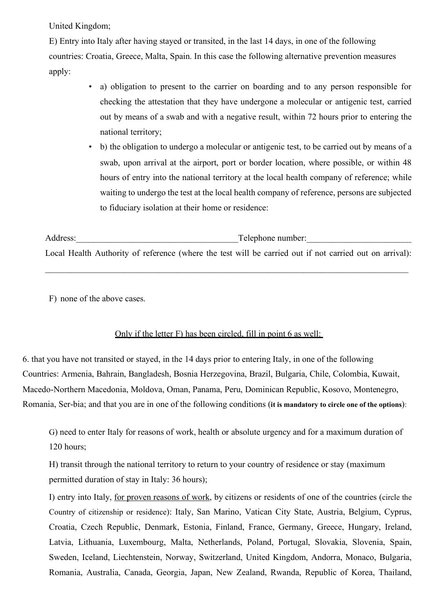United Kingdom;

E) Entry into Italy after having stayed or transited, in the last 14 days, in one of the following countries: Croatia, Greece, Malta, Spain. In this case the following alternative prevention measures apply:

- a) obligation to present to the carrier on boarding and to any person responsible for checking the attestation that they have undergone a molecular or antigenic test, carried out by means of a swab and with a negative result, within 72 hours prior to entering the national territory;
- b) the obligation to undergo a molecular or antigenic test, to be carried out by means of a swab, upon arrival at the airport, port or border location, where possible, or within 48 hours of entry into the national territory at the local health company of reference; while waiting to undergo the test at the local health company of reference, persons are subjected to fiduciary isolation at their home or residence:

Address: Telephone number: Local Health Authority of reference (where the test will be carried out if not carried out on arrival):

 $\mathcal{L}_\mathcal{L} = \{ \mathcal{L}_\mathcal{L} = \{ \mathcal{L}_\mathcal{L} = \{ \mathcal{L}_\mathcal{L} = \{ \mathcal{L}_\mathcal{L} = \{ \mathcal{L}_\mathcal{L} = \{ \mathcal{L}_\mathcal{L} = \{ \mathcal{L}_\mathcal{L} = \{ \mathcal{L}_\mathcal{L} = \{ \mathcal{L}_\mathcal{L} = \{ \mathcal{L}_\mathcal{L} = \{ \mathcal{L}_\mathcal{L} = \{ \mathcal{L}_\mathcal{L} = \{ \mathcal{L}_\mathcal{L} = \{ \mathcal{L}_\mathcal{$ 

F) none of the above cases.

## Only if the letter F) has been circled, fill in point 6 as well:

6. that you have not transited or stayed, in the 14 days prior to entering Italy, in one of the following Countries: Armenia, Bahrain, Bangladesh, Bosnia Herzegovina, Brazil, Bulgaria, Chile, Colombia, Kuwait, Macedo-Northern Macedonia, Moldova, Oman, Panama, Peru, Dominican Republic, Kosovo, Montenegro, Romania, Ser-bia; and that you are in one of the following conditions (**it is mandatory to circle one of the options**):

G) need to enter Italy for reasons of work, health or absolute urgency and for a maximum duration of 120 hours;

H) transit through the national territory to return to your country of residence or stay (maximum permitted duration of stay in Italy: 36 hours);

I) entry into Italy, for proven reasons of work, by citizens or residents of one of the countries (circle the Country of citizenship or residence): Italy, San Marino, Vatican City State, Austria, Belgium, Cyprus, Croatia, Czech Republic, Denmark, Estonia, Finland, France, Germany, Greece, Hungary, Ireland, Latvia, Lithuania, Luxembourg, Malta, Netherlands, Poland, Portugal, Slovakia, Slovenia, Spain, Sweden, Iceland, Liechtenstein, Norway, Switzerland, United Kingdom, Andorra, Monaco, Bulgaria, Romania, Australia, Canada, Georgia, Japan, New Zealand, Rwanda, Republic of Korea, Thailand,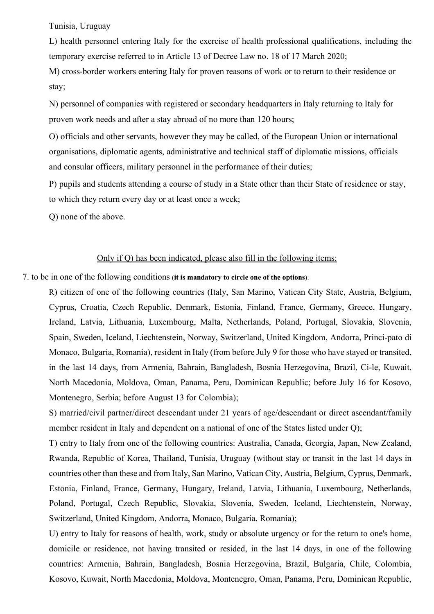Tunisia, Uruguay

L) health personnel entering Italy for the exercise of health professional qualifications, including the temporary exercise referred to in Article 13 of Decree Law no. 18 of 17 March 2020;

M) cross-border workers entering Italy for proven reasons of work or to return to their residence or stay;

N) personnel of companies with registered or secondary headquarters in Italy returning to Italy for proven work needs and after a stay abroad of no more than 120 hours;

O) officials and other servants, however they may be called, of the European Union or international organisations, diplomatic agents, administrative and technical staff of diplomatic missions, officials and consular officers, military personnel in the performance of their duties;

P) pupils and students attending a course of study in a State other than their State of residence or stay, to which they return every day or at least once a week;

Q) none of the above.

## Only if Q) has been indicated, please also fill in the following items:

7. to be in one of the following conditions (**it is mandatory to circle one of the options**):

R) citizen of one of the following countries (Italy, San Marino, Vatican City State, Austria, Belgium, Cyprus, Croatia, Czech Republic, Denmark, Estonia, Finland, France, Germany, Greece, Hungary, Ireland, Latvia, Lithuania, Luxembourg, Malta, Netherlands, Poland, Portugal, Slovakia, Slovenia, Spain, Sweden, Iceland, Liechtenstein, Norway, Switzerland, United Kingdom, Andorra, Princi-pato di Monaco, Bulgaria, Romania), resident in Italy (from before July 9 for those who have stayed or transited, in the last 14 days, from Armenia, Bahrain, Bangladesh, Bosnia Herzegovina, Brazil, Ci-le, Kuwait, North Macedonia, Moldova, Oman, Panama, Peru, Dominican Republic; before July 16 for Kosovo, Montenegro, Serbia; before August 13 for Colombia);

S) married/civil partner/direct descendant under 21 years of age/descendant or direct ascendant/family member resident in Italy and dependent on a national of one of the States listed under Q);

T) entry to Italy from one of the following countries: Australia, Canada, Georgia, Japan, New Zealand, Rwanda, Republic of Korea, Thailand, Tunisia, Uruguay (without stay or transit in the last 14 days in countries other than these and from Italy, San Marino, Vatican City, Austria, Belgium, Cyprus, Denmark, Estonia, Finland, France, Germany, Hungary, Ireland, Latvia, Lithuania, Luxembourg, Netherlands, Poland, Portugal, Czech Republic, Slovakia, Slovenia, Sweden, Iceland, Liechtenstein, Norway, Switzerland, United Kingdom, Andorra, Monaco, Bulgaria, Romania);

U) entry to Italy for reasons of health, work, study or absolute urgency or for the return to one's home, domicile or residence, not having transited or resided, in the last 14 days, in one of the following countries: Armenia, Bahrain, Bangladesh, Bosnia Herzegovina, Brazil, Bulgaria, Chile, Colombia, Kosovo, Kuwait, North Macedonia, Moldova, Montenegro, Oman, Panama, Peru, Dominican Republic,